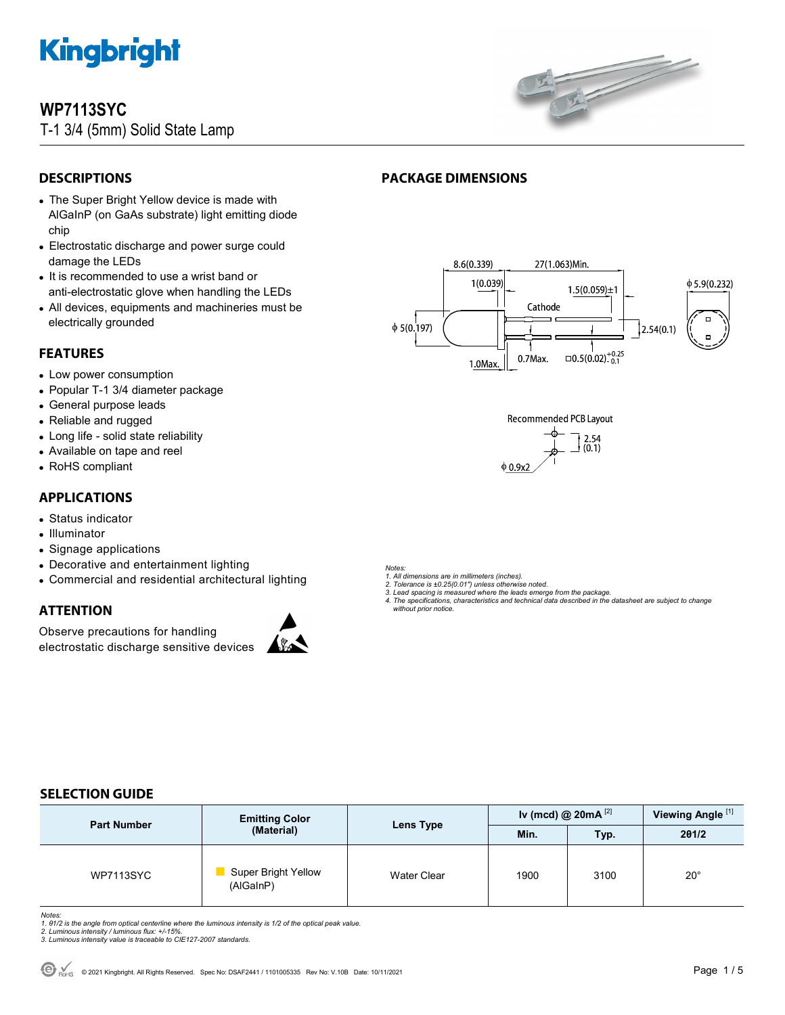

### **WP7113SYC**

T-1 3/4 (5mm) Solid State Lamp



#### **DESCRIPTIONS**

- The Super Bright Yellow device is made with AlGaInP (on GaAs substrate) light emitting diode chip
- Electrostatic discharge and power surge could damage the LEDs
- It is recommended to use a wrist band or anti-electrostatic glove when handling the LEDs
- All devices, equipments and machineries must be electrically grounded

#### **FEATURES**

- Low power consumption
- Popular T-1 3/4 diameter package
- General purpose leads
- Reliable and rugged
- Long life solid state reliability
- Available on tape and reel
- RoHS compliant

#### **APPLICATIONS**

- Status indicator
- Illuminator
- Signage applications
- Decorative and entertainment lighting
- Commercial and residential architectural lighting

#### **ATTENTION**

Observe precautions for handling electrostatic discharge sensitive devices



#### **PACKAGE DIMENSIONS**





- *Notes: 1. All dimensions are in millimeters (inches).*
- *2. Tolerance is ±0.25(0.01") unless otherwise noted. 3. Lead spacing is measured where the leads emerge from the package.*
- *4. The specifications, characteristics and technical data described in the datasheet are subject to change without prior notice.*

#### **SELECTION GUIDE**

| <b>Part Number</b> | <b>Emitting Color</b><br>(Material) | Lens Type          | Iv (mcd) @ $20mA^{[2]}$ |      | Viewing Angle <sup>[1]</sup> |
|--------------------|-------------------------------------|--------------------|-------------------------|------|------------------------------|
|                    |                                     |                    | Min.                    | Typ. | 201/2                        |
| <b>WP7113SYC</b>   | Super Bright Yellow<br>(AlGaInP)    | <b>Water Clear</b> | 1900                    | 3100 | $20^{\circ}$                 |

Notes:<br>1. 81/2 is the angle from optical centerline where the luminous intensity is 1/2 of the optical peak value.<br>2. Luminous intensity / luminous flux: +/-15%.<br>3. Luminous intensity value is traceable to CIE127-2007 stan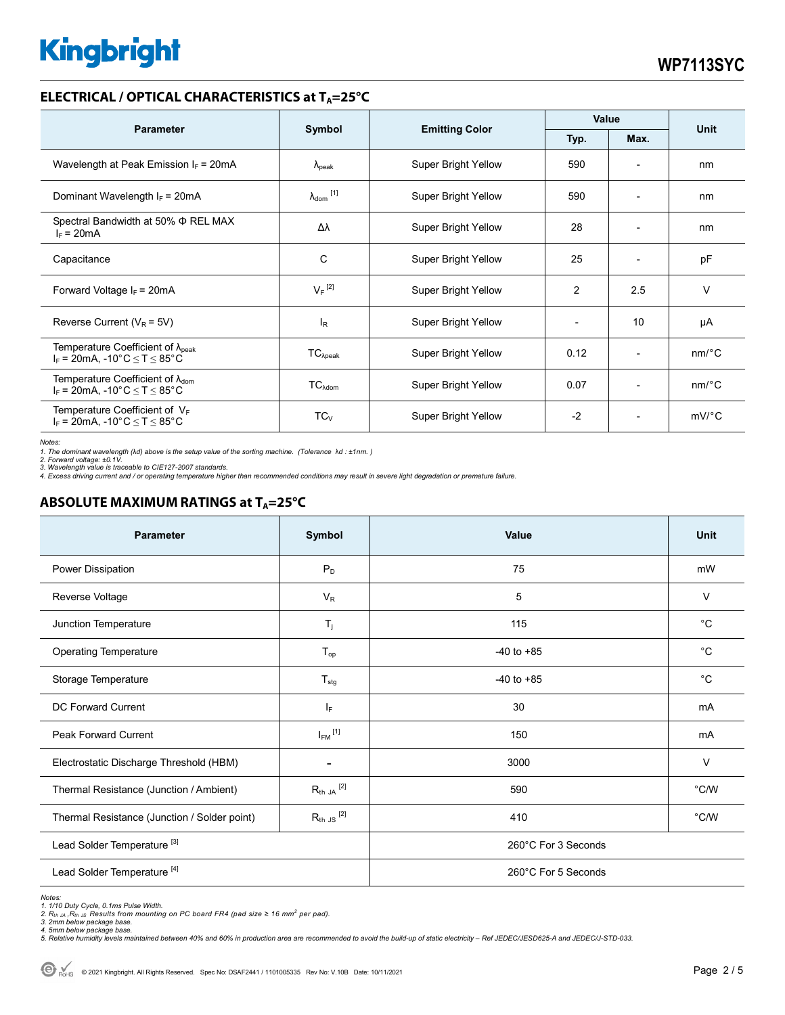#### **ELECTRICAL / OPTICAL CHARACTERISTICS at T<sub>A</sub>=25°C**

| <b>Parameter</b>                                                                              |                              | <b>Emitting Color</b>      | Value |                          | <b>Unit</b>           |
|-----------------------------------------------------------------------------------------------|------------------------------|----------------------------|-------|--------------------------|-----------------------|
|                                                                                               | Symbol<br>Typ.<br>Max.       |                            |       |                          |                       |
| Wavelength at Peak Emission $I_F$ = 20mA                                                      | $\Lambda_{\rm peak}$         | Super Bright Yellow        | 590   |                          | nm                    |
| Dominant Wavelength $I_F = 20mA$                                                              | $\lambda_{\mathsf{dom}}$ [1] | Super Bright Yellow        | 590   | $\overline{\phantom{0}}$ | nm                    |
| Spectral Bandwidth at 50% $\Phi$ REL MAX<br>$I_F = 20mA$                                      | Δλ                           | Super Bright Yellow        | 28    | $\overline{\phantom{a}}$ | nm                    |
| Capacitance                                                                                   | C                            | Super Bright Yellow        | 25    | $\overline{\phantom{0}}$ | pF                    |
| Forward Voltage $I_F$ = 20mA                                                                  | $V_F$ <sup>[2]</sup>         | Super Bright Yellow        | 2     | 2.5                      | $\vee$                |
| Reverse Current ( $V_R$ = 5V)                                                                 | $I_R$                        | Super Bright Yellow        |       | 10                       | μA                    |
| Temperature Coefficient of $\lambda_{\text{peak}}$<br>$I_F$ = 20mA, -10°C $\leq T \leq 85$ °C | $TC_{\lambda peak}$          | <b>Super Bright Yellow</b> | 0.12  | $\overline{\phantom{a}}$ | $nm$ <sup>o</sup> $C$ |
| Temperature Coefficient of $\lambda_{\text{dom}}$<br>$I_F$ = 20mA, -10°C $\leq T \leq 85$ °C  | $TC_{\lambda dom}$           | Super Bright Yellow        | 0.07  | $\overline{\phantom{0}}$ | $nm$ <sup>o</sup> $C$ |
| Temperature Coefficient of $V_F$<br>$I_F$ = 20mA, -10°C $\leq T \leq 85$ °C                   | $TC_{V}$                     | Super Bright Yellow        | $-2$  |                          | $mV$ °C               |

*Notes: 1. The dominant wavelength (*λ*d) above is the setup value of the sorting machine. (Tolerance* λ*d : ±1nm. ) 2. Forward voltage: ±0.1V.* 

*3. Wavelength value is traceable to CIE127-2007 standards.* 

*4. Excess driving current and / or operating temperature higher than recommended conditions may result in severe light degradation or premature failure.* 

#### **ABSOLUTE MAXIMUM RATINGS at T<sub>A</sub>=25°C**

| <b>Parameter</b>                             | Symbol                  | Value               | Unit        |  |
|----------------------------------------------|-------------------------|---------------------|-------------|--|
| Power Dissipation                            | $P_D$                   | 75                  | mW          |  |
| Reverse Voltage                              | $V_R$                   | 5                   | $\vee$      |  |
| Junction Temperature                         | $T_{j}$                 | 115                 | $^{\circ}C$ |  |
| <b>Operating Temperature</b>                 | $T_{op}$                | $-40$ to $+85$      | $^{\circ}C$ |  |
| Storage Temperature                          | $T_{\text{stg}}$        | $-40$ to $+85$      | $^{\circ}C$ |  |
| <b>DC Forward Current</b>                    | IF.                     | 30                  | mA          |  |
| Peak Forward Current                         | $I_{FM}$ <sup>[1]</sup> | 150                 | mA          |  |
| Electrostatic Discharge Threshold (HBM)      |                         | 3000                | $\vee$      |  |
| Thermal Resistance (Junction / Ambient)      | $R_{th}$ JA $^{[2]}$    | 590                 | °C/W        |  |
| Thermal Resistance (Junction / Solder point) | $R_{th}$ JS $^{[2]}$    | 410                 | °C/W        |  |
| Lead Solder Temperature <sup>[3]</sup>       |                         | 260°C For 3 Seconds |             |  |
| Lead Solder Temperature <sup>[4]</sup>       |                         | 260°C For 5 Seconds |             |  |

Notes:<br>1. 1/10 Duty Cycle, 0.1ms Pulse Width.<br>2. R<sub>th JA</sub> ,R<sub>th JS</sub> Results from mounting on PC board FR4 (pad size ≥ 16 mm<sup>2</sup> per pad).<br>3. 2mm below package base.<br>5. Relative humidity levels maintained between 40% and 60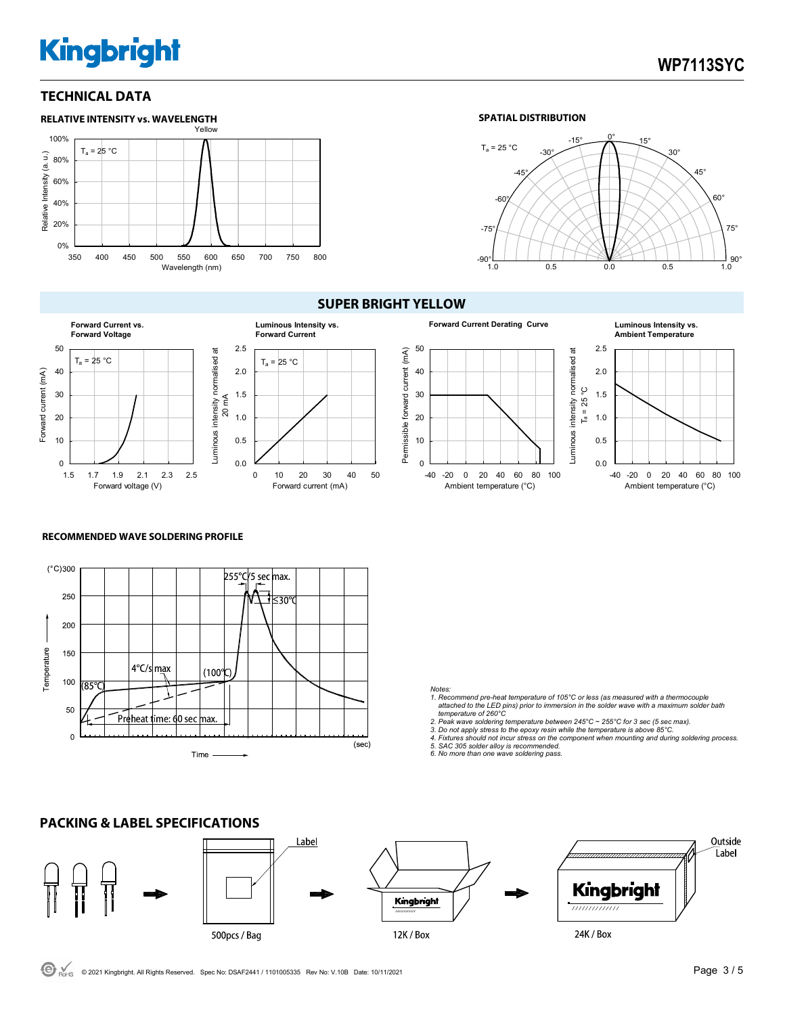#### **TECHNICAL DATA**



#### **SPATIAL DISTRIBUTION**



#### **SUPER BRIGHT YELLOW**



#### 0.0 0.5 1.0 1.5 2.0 2.5 0 10 20 30 40 50  $T_a = 25 °C$ Forward current (mA) **Luminous Intensity vs. Forward Current**



**RECOMMENDED WAVE SOLDERING PROFILE** 

![](_page_2_Figure_11.jpeg)

- *Notes: 1. Recommend pre-heat temperature of 105°C or less (as measured with a thermocouple attached to the LED pins) prior to immersion in the solder wave with a maximum solder bath*
- *temperature of 260°C 2. Peak wave soldering temperature between 245°C ~ 255°C for 3 sec (5 sec max).*
- 
- *3. Do not apply stress to the epoxy resin while the temperature is above 85°C. 4. Fixtures should not incur stress on the component when mounting and during soldering process.*
- *5. SAC 305 solder alloy is recommended. 6. No more than one wave soldering pass.*

![](_page_2_Figure_18.jpeg)

C RoHS © 2021 Kingbright. All Rights Reserved. Spec No: DSAF2441 / 1101005335 Rev No: V.10B Date: 10/11/2021 **Page 3 / 5 Page 3 / 5**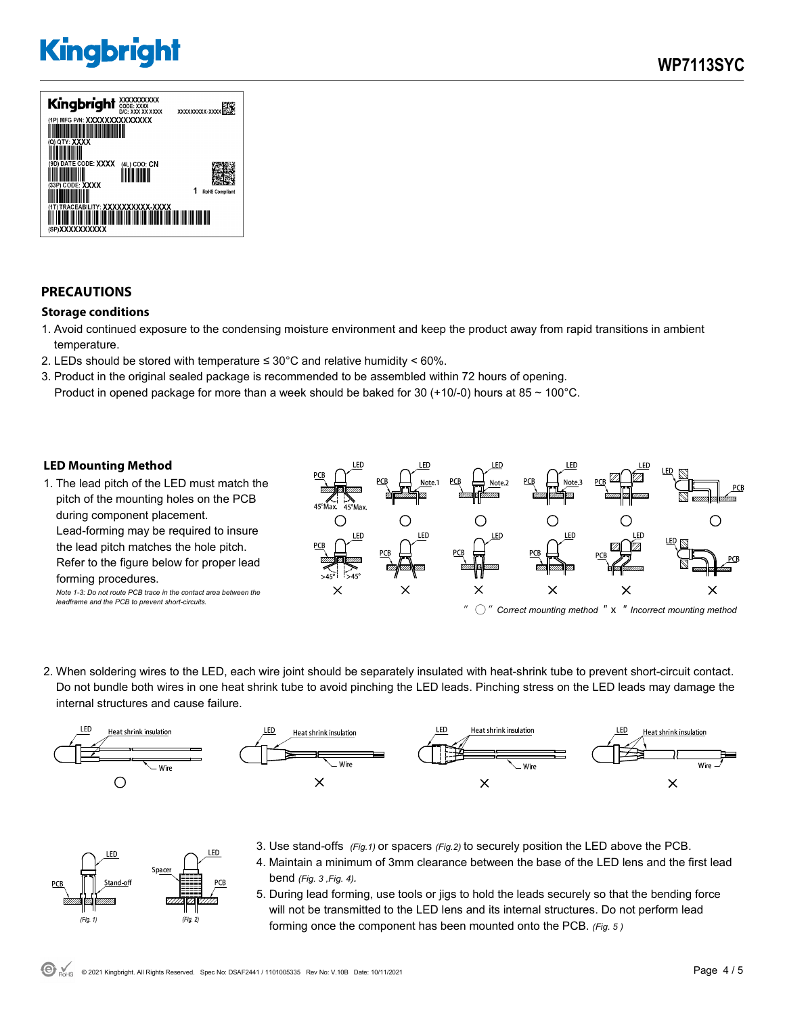![](_page_3_Picture_2.jpeg)

#### **PRECAUTIONS**

#### **Storage conditions**

- 1. Avoid continued exposure to the condensing moisture environment and keep the product away from rapid transitions in ambient temperature.
- 2. LEDs should be stored with temperature  $\leq 30^{\circ}$ C and relative humidity < 60%.
- 3. Product in the original sealed package is recommended to be assembled within 72 hours of opening. Product in opened package for more than a week should be baked for 30 (+10/-0) hours at 85  $\sim$  100°C.

#### **LED Mounting Method**

FD.

 $(Fig. 1)$ 

Space

 $(Fig. 2)$ 

1. The lead pitch of the LED must match the pitch of the mounting holes on the PCB during component placement. Lead-forming may be required to insure the lead pitch matches the hole pitch. Refer to the figure below for proper lead forming procedures. *Note 1-3: Do not route PCB trace in the contact area between the* 

*leadframe and the PCB to prevent short-circuits.* 

![](_page_3_Figure_11.jpeg)

2. When soldering wires to the LED, each wire joint should be separately insulated with heat-shrink tube to prevent short-circuit contact. Do not bundle both wires in one heat shrink tube to avoid pinching the LED leads. Pinching stress on the LED leads may damage the internal structures and cause failure.

![](_page_3_Figure_13.jpeg)

- 3. Use stand-offs *(Fig.1)* or spacers *(Fig.2)* to securely position the LED above the PCB. .ED 4. Maintain a minimum of 3mm clearance between the base of the LED lens and the first lead
	- bend *(Fig. 3 ,Fig. 4).*
	- 5. During lead forming, use tools or jigs to hold the leads securely so that the bending force will not be transmitted to the LED lens and its internal structures. Do not perform lead forming once the component has been mounted onto the PCB. *(Fig. 5 )*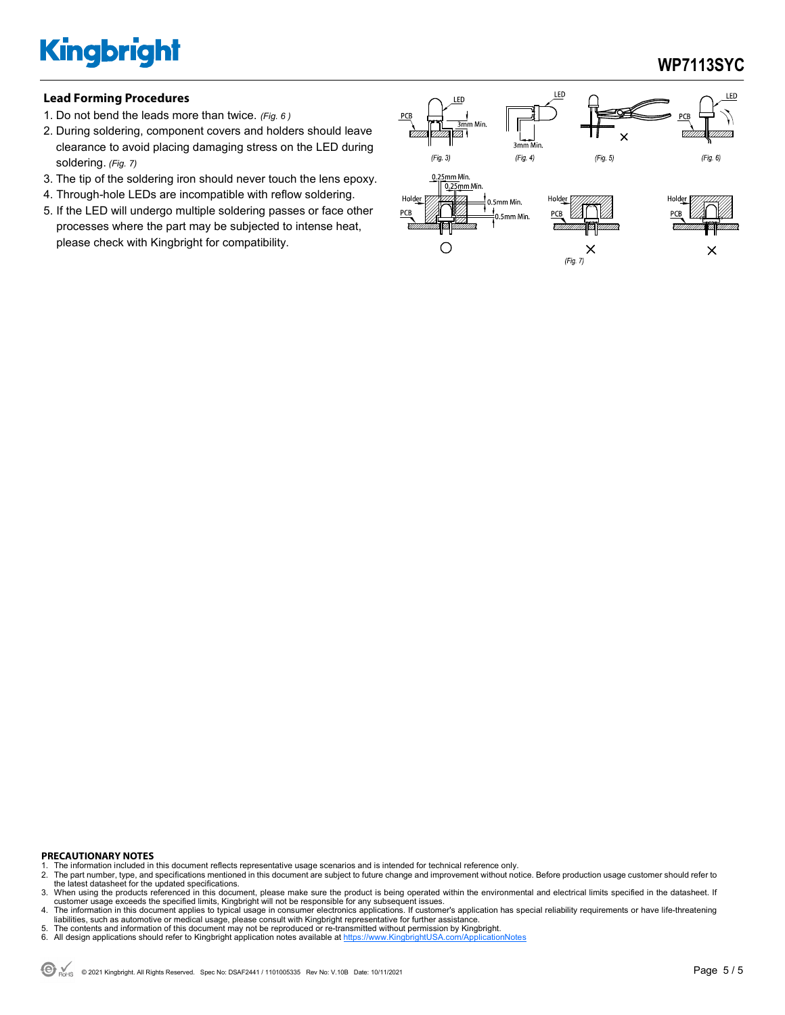### **WP7113SYC**

#### **Lead Forming Procedures**

- 1. Do not bend the leads more than twice. *(Fig. 6 )*
- 2. During soldering, component covers and holders should leave clearance to avoid placing damaging stress on the LED during soldering. *(Fig. 7)*
- 3. The tip of the soldering iron should never touch the lens epoxy.
- 4. Through-hole LEDs are incompatible with reflow soldering.
- 5. If the LED will undergo multiple soldering passes or face other processes where the part may be subjected to intense heat, please check with Kingbright for compatibility.

![](_page_4_Figure_8.jpeg)

#### **PRECAUTIONARY NOTES**

- 1. The information included in this document reflects representative usage scenarios and is intended for technical reference only.<br>2. The part number type, and specifications mentioned in this document are subject to futur
- 2. The part number, type, and specifications mentioned in this document are subject to future change and improvement without notice. Before production usage customer should refer to<br>the latest datasheet for the updated spe
- 3. When using the products referenced in this document, please make sure the product is being operated within the environmental and electrical limits specified in the datasheet. If customer usage exceeds the specified limits, Kingbright will not be responsible for any subsequent issues.<br>4. The information in this document applies to typical usage in consumer electronics applications. If customer's ap
- liabilities, such as automotive or medical usage, please consult with Kingbright representative for further assistance.
- 5. The contents and information of this document may not be reproduced or re-transmitted without permission by Kingbright<br>6. All design applications should refer to Kingbright application notes available at https://www.Kin
- 6. All design applications should refer to Kingbright application notes available at https://www.KingbrightUSA.com/ApplicationNotes